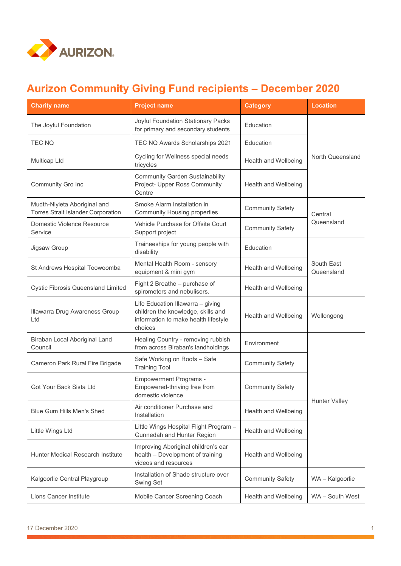

## **Aurizon Community Giving Fund recipients – December 2020**

| <b>Charity name</b>                                                       | <b>Project name</b>                                                                                                        | <b>Category</b>         | <b>Location</b>          |
|---------------------------------------------------------------------------|----------------------------------------------------------------------------------------------------------------------------|-------------------------|--------------------------|
| The Joyful Foundation                                                     | Joyful Foundation Stationary Packs<br>for primary and secondary students                                                   | Education               | North Queensland         |
| <b>TEC NQ</b>                                                             | TEC NQ Awards Scholarships 2021                                                                                            | Education               |                          |
| Multicap Ltd                                                              | Cycling for Wellness special needs<br>tricycles                                                                            | Health and Wellbeing    |                          |
| Community Gro Inc                                                         | <b>Community Garden Sustainability</b><br>Project- Upper Ross Community<br>Centre                                          | Health and Wellbeing    |                          |
| Mudth-Niyleta Aboriginal and<br><b>Torres Strait Islander Corporation</b> | Smoke Alarm Installation in<br><b>Community Housing properties</b>                                                         | <b>Community Safety</b> | Central<br>Queensland    |
| Domestic Violence Resource<br>Service                                     | Vehicle Purchase for Offsite Court<br>Support project                                                                      | <b>Community Safety</b> |                          |
| Jigsaw Group                                                              | Traineeships for young people with<br>disability                                                                           | Education               | South East<br>Queensland |
| St Andrews Hospital Toowoomba                                             | Mental Health Room - sensory<br>equipment & mini gym                                                                       | Health and Wellbeing    |                          |
| <b>Cystic Fibrosis Queensland Limited</b>                                 | Fight 2 Breathe - purchase of<br>spirometers and nebulisers.                                                               | Health and Wellbeing    |                          |
| Illawarra Drug Awareness Group<br>Ltd                                     | Life Education Illawarra - giving<br>children the knowledge, skills and<br>information to make health lifestyle<br>choices | Health and Wellbeing    | Wollongong               |
| Biraban Local Aboriginal Land<br>Council                                  | Healing Country - removing rubbish<br>from across Biraban's landholdings                                                   | Environment             | <b>Hunter Valley</b>     |
| Cameron Park Rural Fire Brigade                                           | Safe Working on Roofs - Safe<br><b>Training Tool</b>                                                                       | <b>Community Safety</b> |                          |
| Got Your Back Sista Ltd                                                   | <b>Empowerment Programs -</b><br>Empowered-thriving free from<br>domestic violence                                         | <b>Community Safety</b> |                          |
| <b>Blue Gum Hills Men's Shed</b>                                          | Air conditioner Purchase and<br>Installation                                                                               | Health and Wellbeing    |                          |
| Little Wings Ltd                                                          | Little Wings Hospital Flight Program -<br>Gunnedah and Hunter Region                                                       | Health and Wellbeing    |                          |
| Hunter Medical Research Institute                                         | Improving Aboriginal children's ear<br>health - Development of training<br>videos and resources                            | Health and Wellbeing    |                          |
| Kalgoorlie Central Playgroup                                              | Installation of Shade structure over<br>Swing Set                                                                          | <b>Community Safety</b> | WA - Kalgoorlie          |
| Lions Cancer Institute                                                    | Mobile Cancer Screening Coach                                                                                              | Health and Wellbeing    | WA - South West          |